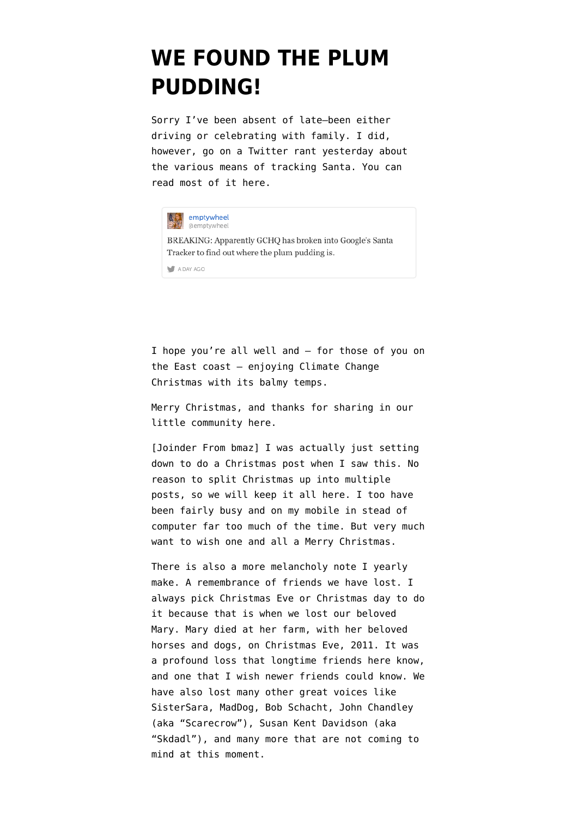## **[WE FOUND THE PLUM](https://www.emptywheel.net/2014/12/25/we-found-the-plum-pudding/) [PUDDING!](https://www.emptywheel.net/2014/12/25/we-found-the-plum-pudding/)**

Sorry I've been absent of late–been either driving or celebrating with family. I did, however, go on a Twitter rant yesterday about the various means of tracking Santa. You can read most of it [here](https://storify.com/emptywheel/norad-versus-google-santa-surveillance).



I hope you're all well and — for those of you on the East coast — enjoying Climate Change Christmas with its balmy temps.

Merry Christmas, and thanks for sharing in our little community here.

[Joinder From bmaz] I was actually just setting down to do a Christmas post when I saw this. No reason to split Christmas up into multiple posts, so we will keep it all here. I too have been fairly busy and on my mobile in stead of computer far too much of the time. But very much want to wish one and all a Merry Christmas.

There is also a more melancholy note I yearly make. A remembrance of friends we have lost. I always pick Christmas Eve or Christmas day to do it because that is when we lost our beloved Mary. [Mary died at her farm, with her beloved](https://www.emptywheel.net/2012/02/06/in-memoriam-mary-beth-perdue/) [horses and dogs, on Christmas Eve, 2011.](https://www.emptywheel.net/2012/02/06/in-memoriam-mary-beth-perdue/) It was a profound loss that longtime friends here know, and one that I wish newer friends could know. We have also lost many other great voices like SisterSara, MadDog, Bob Schacht, John Chandley (aka "Scarecrow"), Susan Kent Davidson (aka "Skdadl"), and many more that are not coming to mind at this moment.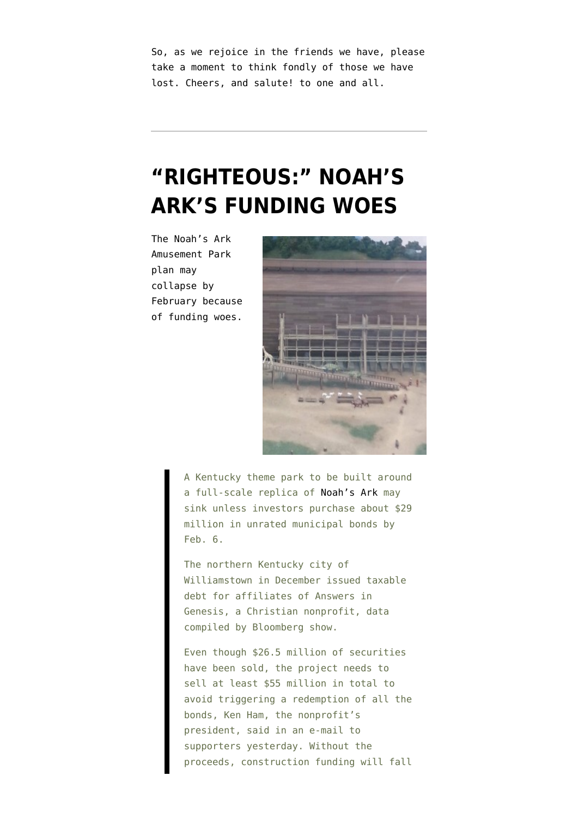So, as we rejoice in the friends we have, please take a moment to think fondly of those we have lost. Cheers, and salute! to one and all.

## **["RIGHTEOUS:" NOAH'S](https://www.emptywheel.net/2014/01/03/righteous-noahs-arks-funding-woes/) [ARK'S FUNDING WOES](https://www.emptywheel.net/2014/01/03/righteous-noahs-arks-funding-woes/)**

The Noah's Ark Amusement Park plan [may](http://www.bloomberg.com/news/2014-01-03/noah-s-ark-risks-collapse-without-bond-buyers-by-february.html) [collapse](http://www.bloomberg.com/news/2014-01-03/noah-s-ark-risks-collapse-without-bond-buyers-by-february.html) by February because of funding woes.



A Kentucky theme park to be built around a full-scale replica of [Noah's Ark](http://arkencounter.com/blog/wp-content/uploads/2013/10/ark-plaza.jpg) may sink unless investors purchase about \$29 million in unrated municipal bonds by Feb. 6.

The northern Kentucky city of Williamstown in December issued taxable debt for affiliates of Answers in Genesis, a Christian nonprofit, data compiled by Bloomberg show.

Even though \$26.5 million of securities have been sold, the project needs to sell at least \$55 million in total to avoid triggering a redemption of all the bonds, Ken Ham, the nonprofit's president, said in an e-mail to supporters yesterday. Without the proceeds, construction funding will fall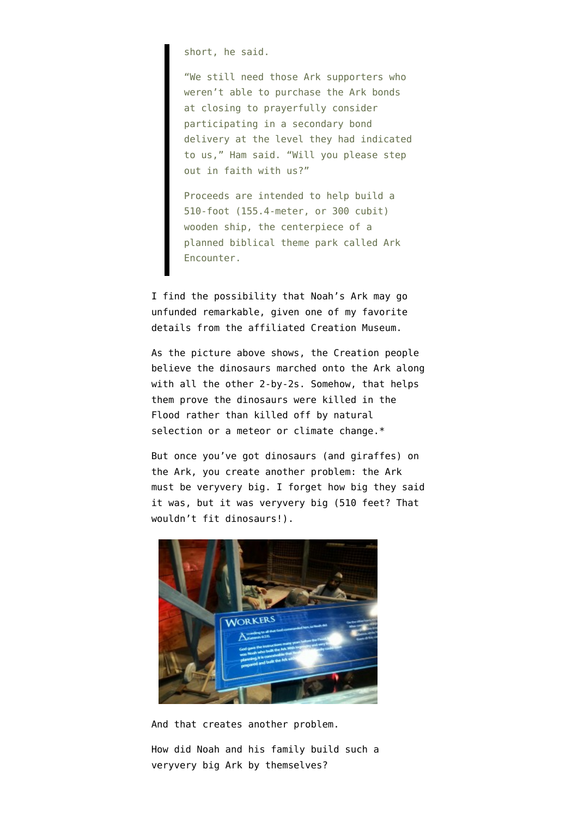short, he said.

"We still need those Ark supporters who weren't able to purchase the Ark bonds at closing to prayerfully consider participating in a secondary bond delivery at the level they had indicated to us," Ham said. "Will you please step out in faith with us?"

Proceeds are intended to help build a 510-foot (155.4-meter, or 300 cubit) wooden ship, the centerpiece of a planned biblical theme park called Ark Encounter.

I find the possibility that Noah's Ark may go unfunded remarkable, given one of my favorite details from the affiliated Creation Museum.

As the picture above shows, the Creation people believe the dinosaurs marched onto the Ark along with all the other 2-by-2s. Somehow, that helps them prove the dinosaurs were killed in the Flood rather than killed off by natural selection or a meteor or climate change.\*

But once you've got dinosaurs (and giraffes) on the Ark, you create another problem: the Ark must be veryvery big. I forget how big they said it was, but it was veryvery big (510 feet? That wouldn't fit dinosaurs!).



And that creates another problem.

How did Noah and his family build such a veryvery big Ark by themselves?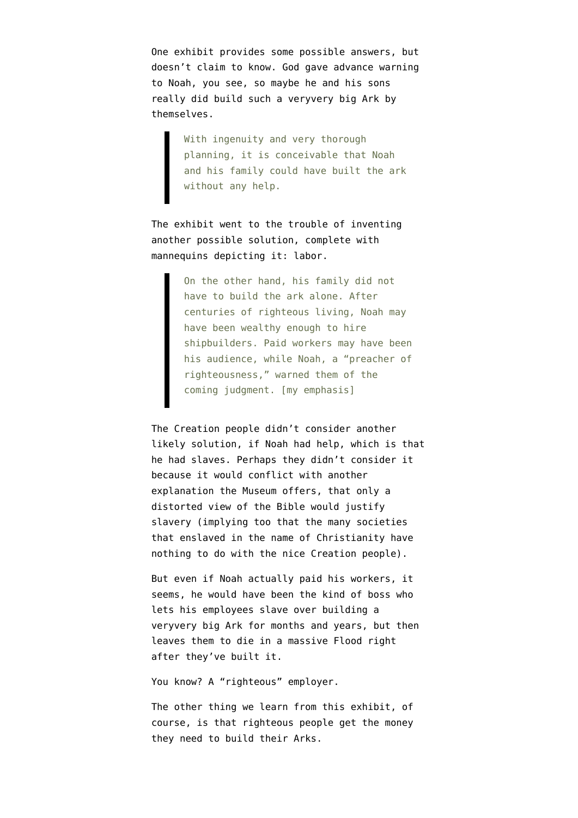One exhibit provides some possible answers, but doesn't claim to know. God gave advance warning to Noah, you see, so maybe he and his sons really did build such a veryvery big Ark by themselves.

> With ingenuity and very thorough planning, it is conceivable that Noah and his family could have built the ark without any help.

The exhibit went to the trouble of [inventing](http://www.emptywheel.net/wp-content/uploads/2014/01/131204-Creation-Workers-2.jpg) [another possible solution,](http://www.emptywheel.net/wp-content/uploads/2014/01/131204-Creation-Workers-2.jpg) complete with mannequins depicting it: labor.

> On the other hand, his family did not have to build the ark alone. After centuries of righteous living, Noah may have been wealthy enough to hire shipbuilders. Paid workers may have been his audience, while Noah, a "preacher of righteousness," warned them of the coming judgment. [my emphasis]

The Creation people didn't consider another likely solution, if Noah had help, which is that he had slaves. Perhaps they didn't consider it because it would conflict with another explanation the Museum offers, that [only a](http://www.emptywheel.net/wp-content/uploads/2014/01/131204-Mark-of-Ham.jpg) [distorted view of the Bible would justify](http://www.emptywheel.net/wp-content/uploads/2014/01/131204-Mark-of-Ham.jpg) [slavery](http://www.emptywheel.net/wp-content/uploads/2014/01/131204-Mark-of-Ham.jpg) (implying too that the many societies that enslaved in the name of Christianity have nothing to do with the nice Creation people).

But even if Noah actually paid his workers, it seems, he would have been the kind of boss who lets his employees slave over building a veryvery big Ark for months and years, but then leaves them to die in a massive Flood right after they've built it.

You know? A "righteous" employer.

The other thing we learn from this exhibit, of course, is that righteous people get the money they need to build their Arks.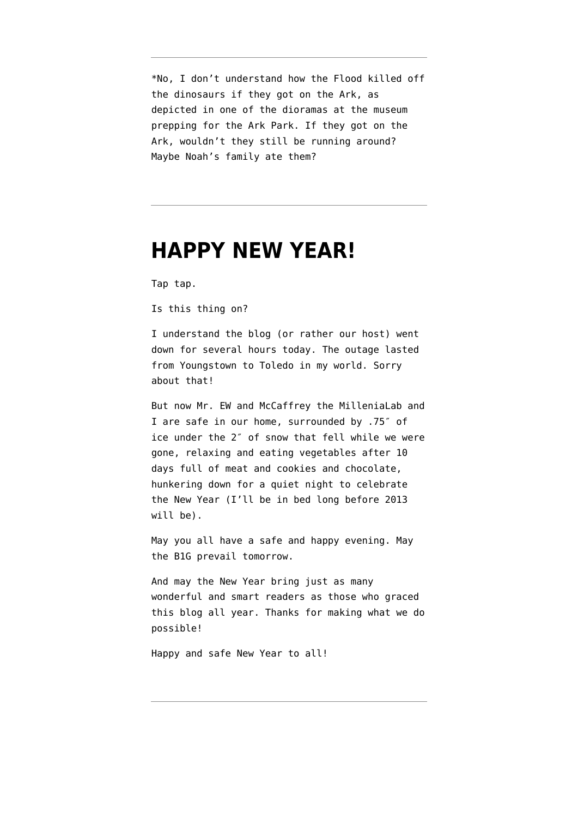\*No, I don't understand how the Flood killed off the dinosaurs if they got on the Ark, as depicted in one of the dioramas at the museum prepping for the Ark Park. If they got on the Ark, wouldn't they still be running around? Maybe Noah's family ate them?

#### **[HAPPY NEW YEAR!](https://www.emptywheel.net/2013/12/31/happy-new-year-2/)**

Tap tap.

Is this thing on?

I understand the blog (or rather our host) went down for several hours today. The outage lasted from Youngstown to Toledo in my world. Sorry about that!

But now Mr. EW and McCaffrey the MilleniaLab and I are safe in our home, surrounded by .75″ of ice under the 2″ of snow that fell while we were gone, relaxing and eating vegetables after 10 days full of meat and cookies and chocolate, hunkering down for a quiet night to celebrate the New Year (I'll be in bed long before 2013 will be).

May you all have a safe and happy evening. May the B1G prevail tomorrow.

And may the New Year bring just as many wonderful and smart readers as those who graced this blog all year. Thanks for making what we do possible!

Happy and safe New Year to all!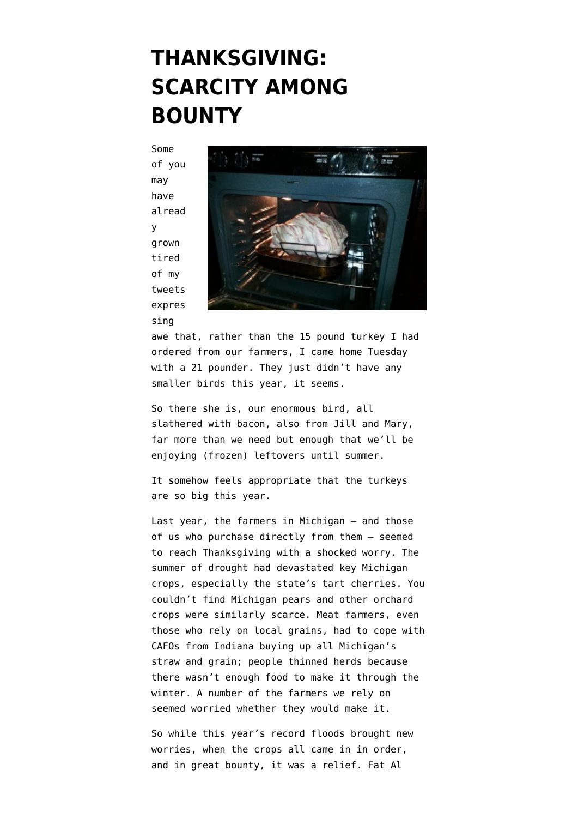## **[THANKSGIVING:](https://www.emptywheel.net/2013/11/28/thanksgiving-scarcity-among-bounty/) [SCARCITY AMONG](https://www.emptywheel.net/2013/11/28/thanksgiving-scarcity-among-bounty/) [BOUNTY](https://www.emptywheel.net/2013/11/28/thanksgiving-scarcity-among-bounty/)**

Some of you may have alread y grown tired of my tweets expres sing



awe that, rather than the 15 pound turkey I had ordered from [our farmers,](http://www.cranedancefarm.com/index.php?option=com_content&task=view&id=23&Itemid=43) I came home Tuesday with a 21 pounder. They just didn't have any smaller birds this year, it seems.

So there she is, our enormous bird, all slathered with bacon, also from Jill and Mary, far more than we need but enough that we'll be enjoying (frozen) leftovers until summer.

It somehow feels appropriate that the turkeys are so big this year.

Last year, the farmers in Michigan — and those of us who purchase directly from them — seemed to reach Thanksgiving with a shocked worry. The summer of drought had devastated key Michigan crops, especially the state's tart cherries. You couldn't find Michigan pears and other orchard crops were similarly scarce. Meat farmers, even those who rely on local grains, had to cope with CAFOs from Indiana buying up all Michigan's straw and grain; people thinned herds because there wasn't enough food to make it through the winter. A number of the farmers we rely on seemed worried whether they would make it.

So while this year's record floods brought new worries, when the crops all came in in order, and in great bounty, it was a relief. Fat Al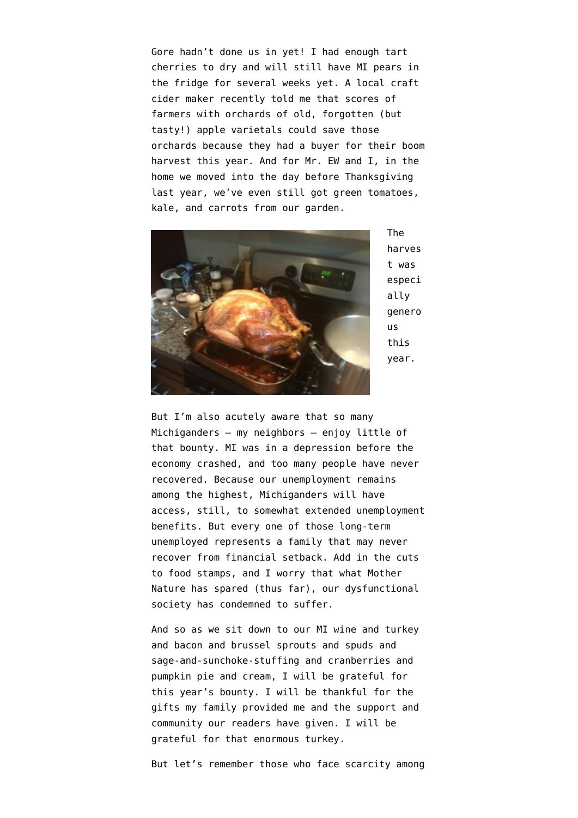Gore hadn't done us in yet! I had enough tart cherries to dry and will still have MI pears in the fridge for several weeks yet. A [local craft](http://virtuecider.com/our-story/) [cider maker](http://virtuecider.com/our-story/) recently told me that scores of farmers with orchards of old, forgotten (but tasty!) apple varietals could save those orchards because they had a buyer for their boom harvest this year. And for Mr. EW and I, in the home we moved into the day before Thanksgiving last year, we've even still got green tomatoes, kale, and carrots from our garden.



The harves t was especi ally genero us this year.

But I'm also acutely aware that so many Michiganders — my neighbors — enjoy little of that bounty. MI was in a depression before the economy crashed, and too many people have never recovered. Because our [unemployment remains](http://www.detroitnews.com/article/20131126/BIZ/311260099) [among the highest,](http://www.detroitnews.com/article/20131126/BIZ/311260099) Michiganders will have access, still, to somewhat extended unemployment benefits. But every one of those long-term unemployed represents a family that may never recover from financial setback. Add in the cuts to food stamps, and I worry that what Mother Nature has spared (thus far), our dysfunctional society has condemned to suffer.

And so as we sit down to our MI [wine](http://www.verterrawinery.com/) and turkey and bacon and [brussel sprouts](http://vegangr.com/2012/10/a-trip-to-the-ham-family-farm/) and [spuds](http://visser-farms.com/) and sage-and-sunchoke-stuffing and [cranberries](http://www.berry-bunch.com/index.htm) and [pumpkin pie](http://www.michigansugar.com/) and [cream](http://hilhofdairy.com/), I will be grateful for this year's bounty. I will be thankful for the gifts my family provided me and the support and community our readers have given. I will be grateful for that enormous turkey.

But let's remember those who face scarcity among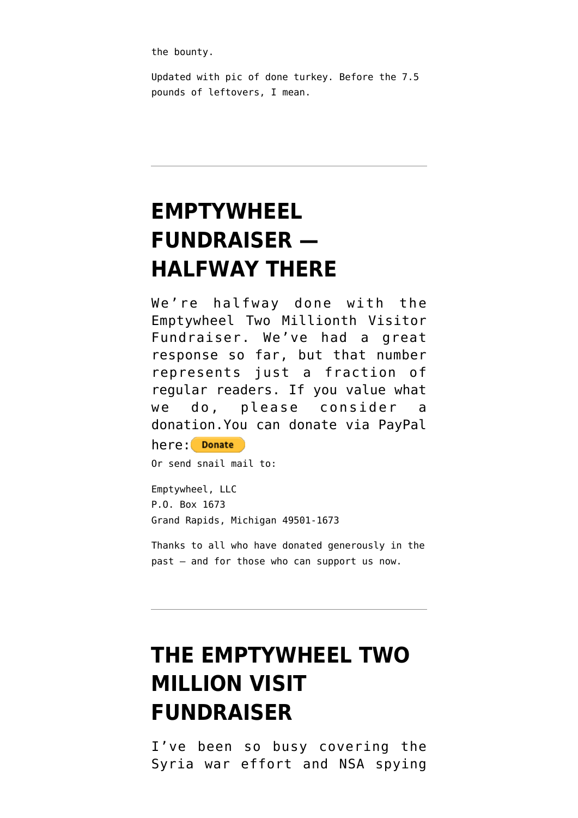the bounty.

Updated with pic of done turkey. Before the 7.5 pounds of leftovers, I mean.

# **[EMPTYWHEEL](https://www.emptywheel.net/2013/09/09/fundraising-update/) [FUNDRAISER —](https://www.emptywheel.net/2013/09/09/fundraising-update/) [HALFWAY THERE](https://www.emptywheel.net/2013/09/09/fundraising-update/)**

We're halfway done with the Emptywheel Two Millionth Visitor Fundraiser. We've had a great response so far, but that number represents just a fraction of regular readers. If you value what we do, please consider a donation.You can donate via PayPal

```
here: Donate
```
Or send snail mail to:

Emptywheel, LLC P.O. Box 1673 Grand Rapids, Michigan 49501-1673

Thanks to all who have donated generously in the past — and for those who can support us now.

## **[THE EMPTYWHEEL TWO](https://www.emptywheel.net/2013/09/05/the-emptywheel-two-million-visit-fundraiser/) [MILLION VISIT](https://www.emptywheel.net/2013/09/05/the-emptywheel-two-million-visit-fundraiser/) [FUNDRAISER](https://www.emptywheel.net/2013/09/05/the-emptywheel-two-million-visit-fundraiser/)**

I've been so busy covering the Syria war effort and NSA spying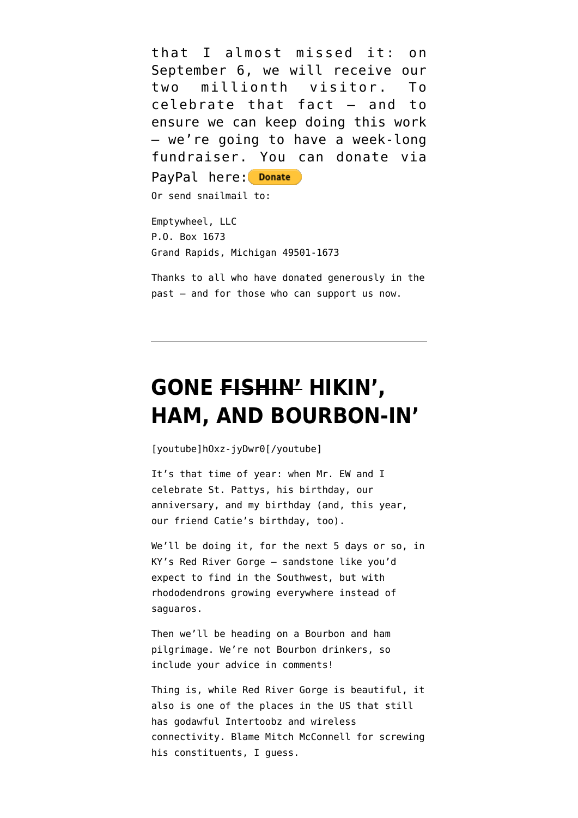that I almost missed it: on September 6, we will receive our two millionth visitor. To celebrate that fact — and to ensure we can keep doing this work — we're going to have a week-long fundraiser. You can donate via

PayPal here: Donate

Or send snailmail to:

Emptywheel, LLC P.O. Box 1673 Grand Rapids, Michigan 49501-1673

Thanks to all who have donated generously in the past — and for those who can support us now.

### **[GONE FISHIN' HIKIN',](https://www.emptywheel.net/2013/03/21/gone-fishin-hikin-ham-and-bourbon-in/) [HAM, AND BOURBON-IN'](https://www.emptywheel.net/2013/03/21/gone-fishin-hikin-ham-and-bourbon-in/)**

[youtube]hOxz-jyDwr0[/youtube]

It's that time of year: when Mr. EW and I celebrate St. Pattys, his birthday, our anniversary, and my birthday (and, this year, our friend Catie's birthday, too).

We'll be doing it, for the next 5 days or so, in KY's Red River Gorge — sandstone like you'd expect to find in the Southwest, but with rhododendrons growing everywhere instead of saguaros.

Then we'll be heading on a Bourbon and ham pilgrimage. We're not Bourbon drinkers, so include your advice in comments!

Thing is, while Red River Gorge is beautiful, it also is one of the places in the US that still has godawful Intertoobz and wireless connectivity. Blame Mitch McConnell for screwing his constituents, I guess.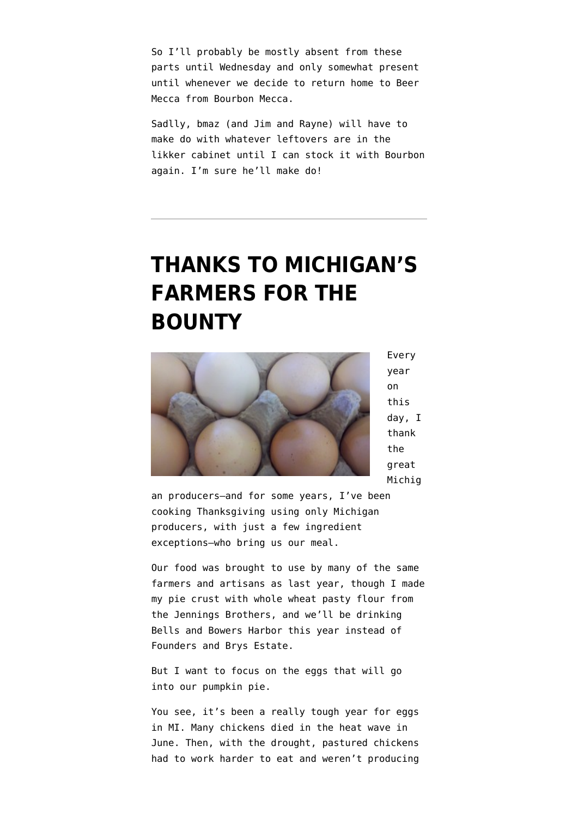So I'll probably be mostly absent from these parts until Wednesday and only somewhat present until whenever we decide to return home to Beer Mecca from Bourbon Mecca.

Sadlly, bmaz (and Jim and Rayne) will have to make do with whatever leftovers are in the likker cabinet until I can stock it with Bourbon again. I'm sure he'll make do!

## **[THANKS TO MICHIGAN'S](https://www.emptywheel.net/2012/11/22/thanks-to-michigans-farmers-for-the-bounty/) [FARMERS FOR THE](https://www.emptywheel.net/2012/11/22/thanks-to-michigans-farmers-for-the-bounty/) [BOUNTY](https://www.emptywheel.net/2012/11/22/thanks-to-michigans-farmers-for-the-bounty/)**



Every year on this day, I thank the great Michig

an producers—and [for some years, I've been](http://www.emptywheel.net/2009/11/26/giving-thanks-for-the-richness-of-michigan/) [cooking Thanksgiving using only Michigan](http://www.emptywheel.net/2009/11/26/giving-thanks-for-the-richness-of-michigan/) [producers,](http://www.emptywheel.net/2009/11/26/giving-thanks-for-the-richness-of-michigan/) with just a few ingredient exceptions–who bring us our meal.

Our food was brought to use by many of [the same](http://www.emptywheel.net/2011/11/24/in-thanks-for-michigans-bounty/) [farmers and artisans as last year,](http://www.emptywheel.net/2011/11/24/in-thanks-for-michigans-bounty/) though I made my pie crust with whole wheat pasty flour from the [Jennings Brothers](http://www.realtimefarms.com/source/270001/jennings-bros-stone-ground-grains), and we'll be drinking Bells and Bowers Harbor this year instead of Founders and Brys Estate.

But I want to focus on the eggs that will go into our pumpkin pie.

You see, it's been a really tough year for eggs in MI. Many chickens died in the heat wave in June. Then, with the drought, pastured chickens had to work harder to eat and weren't producing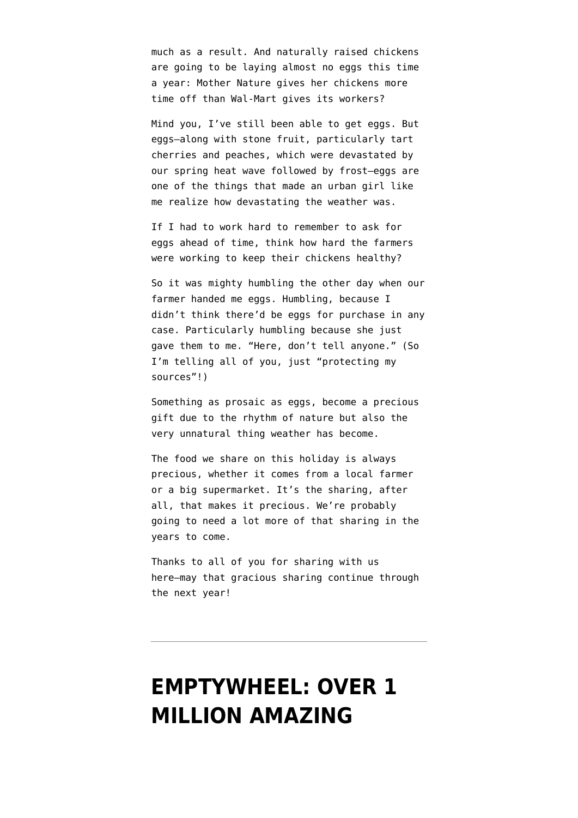much as a result. And naturally raised chickens are going to be laying almost no eggs this time a year: Mother Nature gives her chickens more time off than Wal-Mart gives its workers?

Mind you, I've still been able to get eggs. But eggs—along with stone fruit, particularly tart cherries and peaches, which were devastated by our spring heat wave followed by frost—eggs are one of the things that made an urban girl like me realize how devastating the weather was.

If I had to work hard to remember to ask for eggs ahead of time, think how hard the farmers were working to keep their chickens healthy?

So it was mighty humbling the other day when our farmer handed me eggs. Humbling, because I didn't think there'd be eggs for purchase in any case. Particularly humbling because she just gave them to me. "Here, don't tell anyone." (So I'm telling all of you, just "protecting my sources"!)

Something as prosaic as eggs, become a precious gift due to the rhythm of nature but also the very unnatural thing weather has become.

The food we share on this holiday is always precious, whether it comes from a local farmer or a big supermarket. It's the sharing, after all, that makes it precious. We're probably going to need a lot more of that sharing in the years to come.

Thanks to all of you for sharing with us here–may that gracious sharing continue through the next year!

#### **[EMPTYWHEEL: OVER 1](https://www.emptywheel.net/2012/10/08/emptywheel-over-1-million-amazing-readers-served/) [MILLION AMAZING](https://www.emptywheel.net/2012/10/08/emptywheel-over-1-million-amazing-readers-served/)**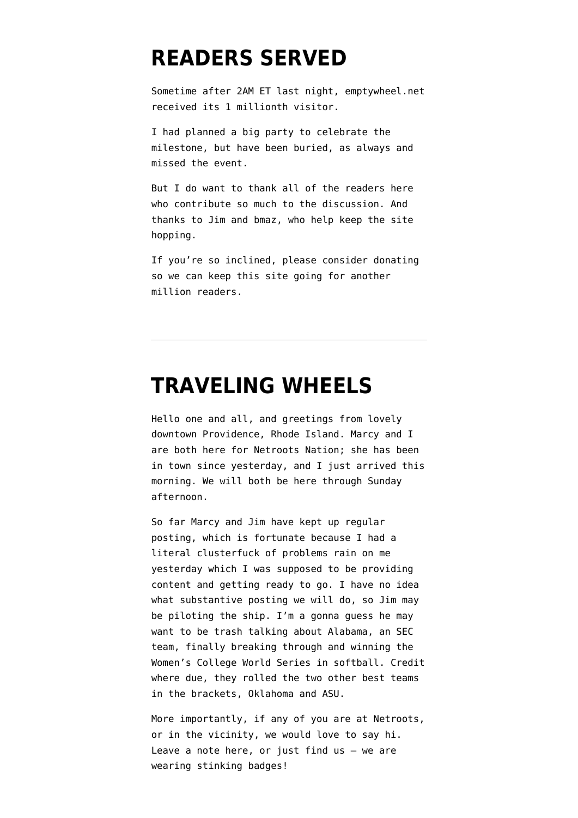#### **[READERS SERVED](https://www.emptywheel.net/2012/10/08/emptywheel-over-1-million-amazing-readers-served/)**

Sometime after 2AM ET last night, emptywheel.net received its 1 millionth visitor.

I had planned a big party to celebrate the milestone, but have been buried, as always and missed the event.

But I do want to thank all of the readers here who contribute so much to the discussion. And thanks to Jim and bmaz, who help keep the site hopping.

If you're so inclined, please consider [donating](http://www.emptywheel.net/support-us/) so we can keep this site going for another million readers.

#### **[TRAVELING WHEELS](https://www.emptywheel.net/2012/06/07/traveling-wheels/)**

Hello one and all, and greetings from lovely downtown Providence, Rhode Island. Marcy and I are both here for Netroots Nation; she has been in town since yesterday, and I just arrived this morning. We will both be here through Sunday afternoon.

So far Marcy and Jim have kept up regular posting, which is fortunate because I had a literal clusterfuck of problems rain on me yesterday which I was supposed to be providing content and getting ready to go. I have no idea what substantive posting we will do, so Jim may be piloting the ship. I'm a gonna guess he may want to be trash talking about Alabama, an SEC team, [finally breaking through and winning the](http://www.usatoday.com/sports/college/softball/story/2012-06-07/alabama-wins-ncaa-softball-championship/55435050/1) [Women's College World Series](http://www.usatoday.com/sports/college/softball/story/2012-06-07/alabama-wins-ncaa-softball-championship/55435050/1) in softball. Credit where due, they rolled the two other best teams in the brackets, Oklahoma and ASU.

More importantly, if any of you are at Netroots, or in the vicinity, we would love to say hi. Leave a note here, or just find us – we are wearing [stinking badges!](http://www.youtube.com/watch?v=-lj056ao6GE)